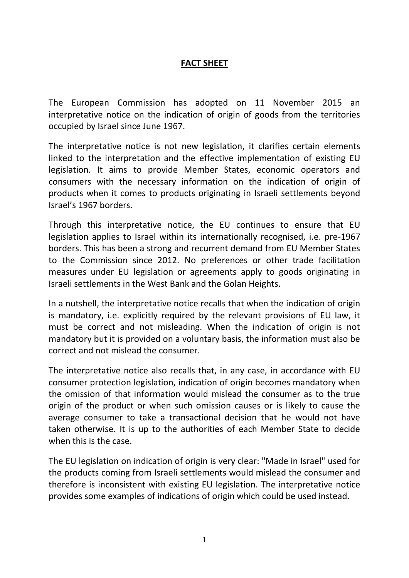# **FACT SHEET**

The European Commission has adopted on 11 November 2015 an interpretative notice on the indication of origin of goods from the territories occupied by Israel since June 1967.

The interpretative notice is not new legislation, it clarifies certain elements linked to the interpretation and the effective implementation of existing EU legislation. It aims to provide Member States, economic operators and consumers with the necessary information on the indication of origin of products when it comes to products originating in Israeli settlements beyond Israel's 1967 borders.

Through this interpretative notice, the EU continues to ensure that EU legislation applies to Israel within its internationally recognised, i.e. pre-1967 borders. This has been a strong and recurrent demand from EU Member States to the Commission since 2012. No preferences or other trade facilitation measures under EU legislation or agreements apply to goods originating in Israeli settlements in the West Bank and the Golan Heights.

In a nutshell, the interpretative notice recalls that when the indication of origin is mandatory, i.e. explicitly required by the relevant provisions of EU law, it must be correct and not misleading. When the indication of origin is not mandatory but it is provided on a voluntary basis, the information must also be correct and not mislead the consumer.

The interpretative notice also recalls that, in any case, in accordance with EU consumer protection legislation, indication of origin becomes mandatory when the omission of that information would mislead the consumer as to the true origin of the product or when such omission causes or is likely to cause the average consumer to take a transactional decision that he would not have taken otherwise. It is up to the authorities of each Member State to decide when this is the case.

The EU legislation on indication of origin is very clear: "Made in Israel" used for the products coming from Israeli settlements would mislead the consumer and therefore is inconsistent with existing EU legislation. The interpretative notice provides some examples of indications of origin which could be used instead.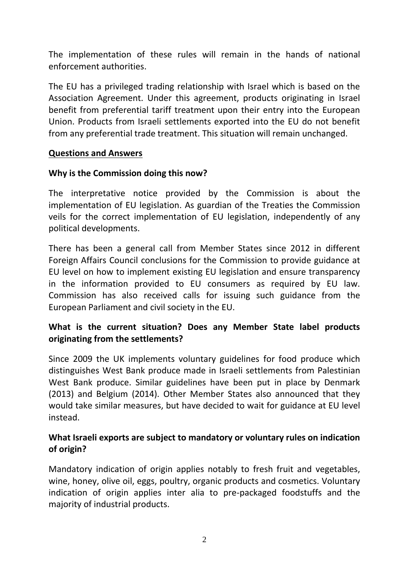The implementation of these rules will remain in the hands of national enforcement authorities.

The EU has a privileged trading relationship with Israel which is based on the Association Agreement. Under this agreement, products originating in Israel benefit from preferential tariff treatment upon their entry into the European Union. Products from Israeli settlements exported into the EU do not benefit from any preferential trade treatment. This situation will remain unchanged.

#### **Questions and Answers**

### **Why is the Commission doing this now?**

The interpretative notice provided by the Commission is about the implementation of EU legislation. As guardian of the Treaties the Commission veils for the correct implementation of EU legislation, independently of any political developments.

There has been a general call from Member States since 2012 in different Foreign Affairs Council conclusions for the Commission to provide guidance at EU level on how to implement existing EU legislation and ensure transparency in the information provided to EU consumers as required by EU law. Commission has also received calls for issuing such guidance from the European Parliament and civil society in the EU.

## **What is the current situation? Does any Member State label products originating from the settlements?**

Since 2009 the UK implements voluntary guidelines for food produce which distinguishes West Bank produce made in Israeli settlements from Palestinian West Bank produce. Similar guidelines have been put in place by Denmark (2013) and Belgium (2014). Other Member States also announced that they would take similar measures, but have decided to wait for guidance at EU level instead.

## **What Israeli exports are subject to mandatory or voluntary rules on indication of origin?**

Mandatory indication of origin applies notably to fresh fruit and vegetables, wine, honey, olive oil, eggs, poultry, organic products and cosmetics. Voluntary indication of origin applies inter alia to pre-packaged foodstuffs and the majority of industrial products.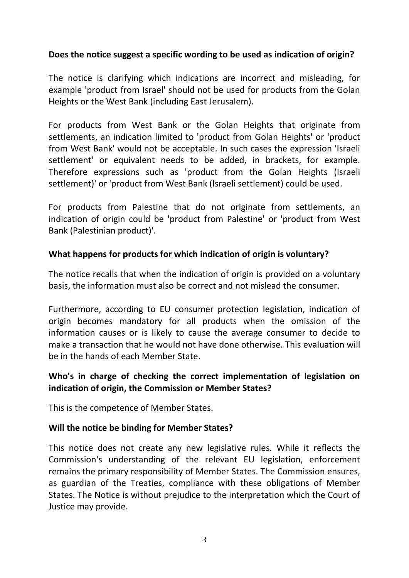## **Does the notice suggest a specific wording to be used as indication of origin?**

The notice is clarifying which indications are incorrect and misleading, for example 'product from Israel' should not be used for products from the Golan Heights or the West Bank (including East Jerusalem).

For products from West Bank or the Golan Heights that originate from settlements, an indication limited to 'product from Golan Heights' or 'product from West Bank' would not be acceptable. In such cases the expression 'Israeli settlement' or equivalent needs to be added, in brackets, for example. Therefore expressions such as 'product from the Golan Heights (Israeli settlement)' or 'product from West Bank (Israeli settlement) could be used.

For products from Palestine that do not originate from settlements, an indication of origin could be 'product from Palestine' or 'product from West Bank (Palestinian product)'.

## **What happens for products for which indication of origin is voluntary?**

The notice recalls that when the indication of origin is provided on a voluntary basis, the information must also be correct and not mislead the consumer.

Furthermore, according to EU consumer protection legislation, indication of origin becomes mandatory for all products when the omission of the information causes or is likely to cause the average consumer to decide to make a transaction that he would not have done otherwise. This evaluation will be in the hands of each Member State.

## **Who's in charge of checking the correct implementation of legislation on indication of origin, the Commission or Member States?**

This is the competence of Member States.

### **Will the notice be binding for Member States?**

This notice does not create any new legislative rules. While it reflects the Commission's understanding of the relevant EU legislation, enforcement remains the primary responsibility of Member States. The Commission ensures, as guardian of the Treaties, compliance with these obligations of Member States. The Notice is without prejudice to the interpretation which the Court of Justice may provide.